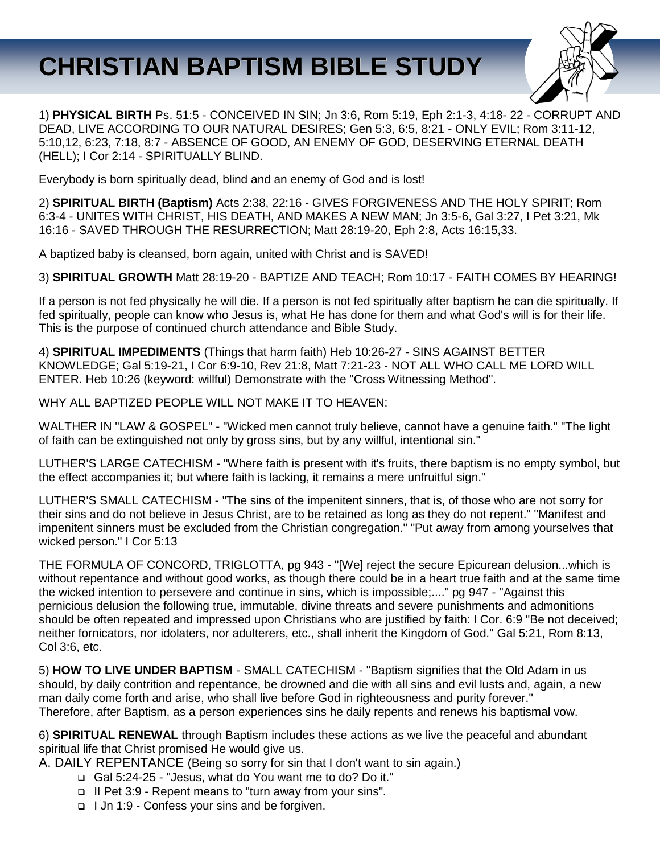# **CHRISTIAN BAPTISM BIBLE STUDY**



1) **PHYSICAL BIRTH** Ps. 51:5 - CONCEIVED IN SIN; Jn 3:6, Rom 5:19, Eph 2:1-3, 4:18- 22 - CORRUPT AND DEAD, LIVE ACCORDING TO OUR NATURAL DESIRES; Gen 5:3, 6:5, 8:21 - ONLY EVIL; Rom 3:11-12, 5:10,12, 6:23, 7:18, 8:7 - ABSENCE OF GOOD, AN ENEMY OF GOD, DESERVING ETERNAL DEATH (HELL); I Cor 2:14 - SPIRITUALLY BLIND.

Everybody is born spiritually dead, blind and an enemy of God and is lost!

2) **SPIRITUAL BIRTH (Baptism)** Acts 2:38, 22:16 - GIVES FORGIVENESS AND THE HOLY SPIRIT; Rom 6:3-4 - UNITES WITH CHRIST, HIS DEATH, AND MAKES A NEW MAN; Jn 3:5-6, Gal 3:27, I Pet 3:21, Mk 16:16 - SAVED THROUGH THE RESURRECTION; Matt 28:19-20, Eph 2:8, Acts 16:15,33.

A baptized baby is cleansed, born again, united with Christ and is SAVED!

3) **SPIRITUAL GROWTH** Matt 28:19-20 - BAPTIZE AND TEACH; Rom 10:17 - FAITH COMES BY HEARING!

If a person is not fed physically he will die. If a person is not fed spiritually after baptism he can die spiritually. If fed spiritually, people can know who Jesus is, what He has done for them and what God's will is for their life. This is the purpose of continued church attendance and Bible Study.

4) **SPIRITUAL IMPEDIMENTS** (Things that harm faith) Heb 10:26-27 - SINS AGAINST BETTER KNOWLEDGE; Gal 5:19-21, I Cor 6:9-10, Rev 21:8, Matt 7:21-23 - NOT ALL WHO CALL ME LORD WILL ENTER. Heb 10:26 (keyword: willful) Demonstrate with the "Cross Witnessing Method".

WHY ALL BAPTIZED PEOPLE WILL NOT MAKE IT TO HEAVEN:

WALTHER IN "LAW & GOSPEL" - "Wicked men cannot truly believe, cannot have a genuine faith." "The light of faith can be extinguished not only by gross sins, but by any willful, intentional sin."

LUTHER'S LARGE CATECHISM - "Where faith is present with it's fruits, there baptism is no empty symbol, but the effect accompanies it; but where faith is lacking, it remains a mere unfruitful sign."

LUTHER'S SMALL CATECHISM - "The sins of the impenitent sinners, that is, of those who are not sorry for their sins and do not believe in Jesus Christ, are to be retained as long as they do not repent." "Manifest and impenitent sinners must be excluded from the Christian congregation." "Put away from among yourselves that wicked person." I Cor 5:13

THE FORMULA OF CONCORD, TRIGLOTTA, pg 943 - "[We] reject the secure Epicurean delusion...which is without repentance and without good works, as though there could be in a heart true faith and at the same time the wicked intention to persevere and continue in sins, which is impossible;...." pg 947 - "Against this pernicious delusion the following true, immutable, divine threats and severe punishments and admonitions should be often repeated and impressed upon Christians who are justified by faith: I Cor. 6:9 "Be not deceived; neither fornicators, nor idolaters, nor adulterers, etc., shall inherit the Kingdom of God." Gal 5:21, Rom 8:13, Col 3:6, etc.

5) **HOW TO LIVE UNDER BAPTISM** - SMALL CATECHISM - "Baptism signifies that the Old Adam in us should, by daily contrition and repentance, be drowned and die with all sins and evil lusts and, again, a new man daily come forth and arise, who shall live before God in righteousness and purity forever." Therefore, after Baptism, as a person experiences sins he daily repents and renews his baptismal vow.

6) **SPIRITUAL RENEWAL** through Baptism includes these actions as we live the peaceful and abundant spiritual life that Christ promised He would give us.

- A. DAILY REPENTANCE (Being so sorry for sin that I don't want to sin again.)
	- Gal 5:24-25 "Jesus, what do You want me to do? Do it."
	- II Pet 3:9 Repent means to "turn away from your sins".
	- I Jn 1:9 Confess your sins and be forgiven.